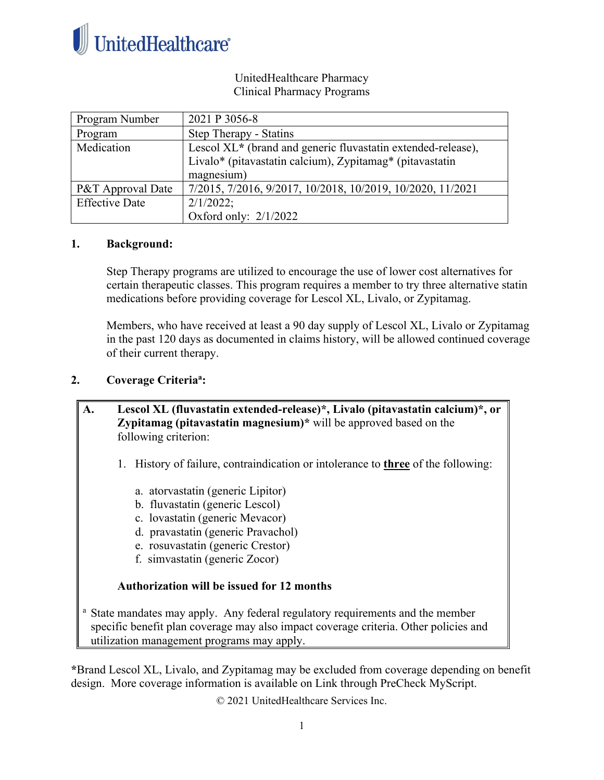

### UnitedHealthcare Pharmacy Clinical Pharmacy Programs

| Program Number        | 2021 P 3056-8                                                |
|-----------------------|--------------------------------------------------------------|
| Program               | Step Therapy - Statins                                       |
| Medication            | Lescol XL* (brand and generic fluvastatin extended-release), |
|                       | Livalo* (pitavastatin calcium), Zypitamag* (pitavastatin     |
|                       | magnesium)                                                   |
| P&T Approval Date     | 7/2015, 7/2016, 9/2017, 10/2018, 10/2019, 10/2020, 11/2021   |
| <b>Effective Date</b> | 2/1/2022;                                                    |
|                       | Oxford only: $2/1/2022$                                      |

### **1. Background:**

Step Therapy programs are utilized to encourage the use of lower cost alternatives for certain therapeutic classes. This program requires a member to try three alternative statin medications before providing coverage for Lescol XL, Livalo, or Zypitamag.

Members, who have received at least a 90 day supply of Lescol XL, Livalo or Zypitamag in the past 120 days as documented in claims history, will be allowed continued coverage of their current therapy.

# **2. Coverage Criteriaa :**

**A. Lescol XL (fluvastatin extended-release)\*, Livalo (pitavastatin calcium)\*, or Zypitamag (pitavastatin magnesium)\*** will be approved based on the following criterion:

- 1. History of failure, contraindication or intolerance to **three** of the following:
	- a. atorvastatin (generic Lipitor)
	- b. fluvastatin (generic Lescol)
	- c. lovastatin (generic Mevacor)
	- d. pravastatin (generic Pravachol)
	- e. rosuvastatin (generic Crestor)
	- f. simvastatin (generic Zocor)

#### **Authorization will be issued for 12 months**

<sup>a</sup> State mandates may apply. Any federal regulatory requirements and the member specific benefit plan coverage may also impact coverage criteria. Other policies and utilization management programs may apply.

**\***Brand Lescol XL, Livalo, and Zypitamag may be excluded from coverage depending on benefit design. More coverage information is available on Link through PreCheck MyScript.

© 2021 UnitedHealthcare Services Inc.